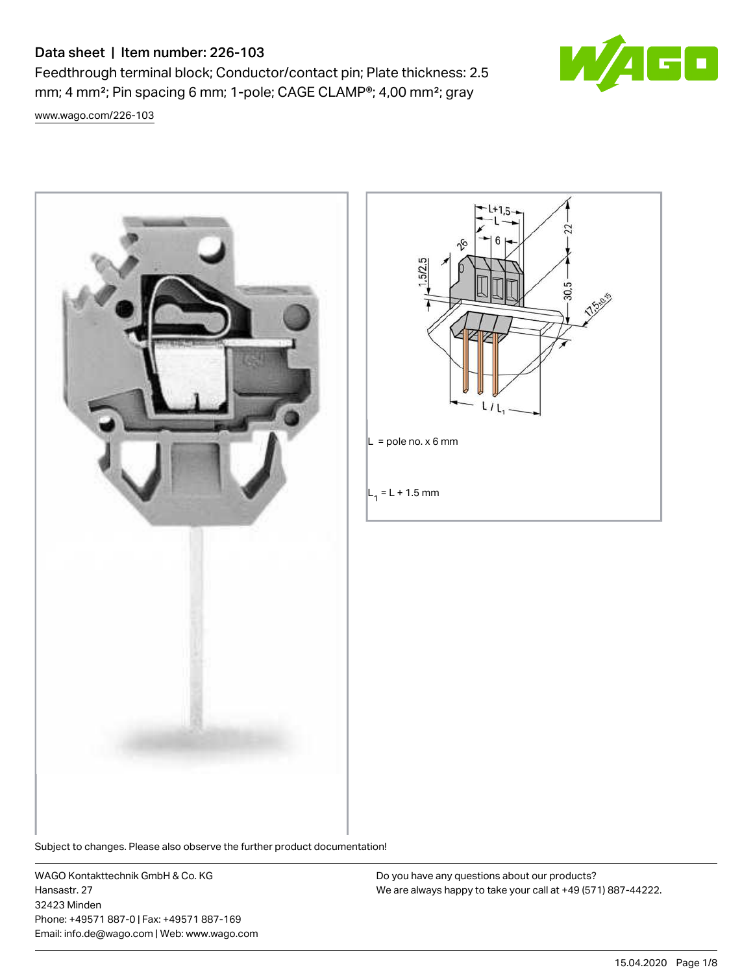# Data sheet | Item number: 226-103

Feedthrough terminal block; Conductor/contact pin; Plate thickness: 2.5 mm; 4 mm²; Pin spacing 6 mm; 1-pole; CAGE CLAMP®; 4,00 mm²; gray

S٨

[www.wago.com/226-103](http://www.wago.com/226-103)





Subject to changes. Please also observe the further product documentation!

WAGO Kontakttechnik GmbH & Co. KG Hansastr. 27 32423 Minden Phone: +49571 887-0 | Fax: +49571 887-169 Email: info.de@wago.com | Web: www.wago.com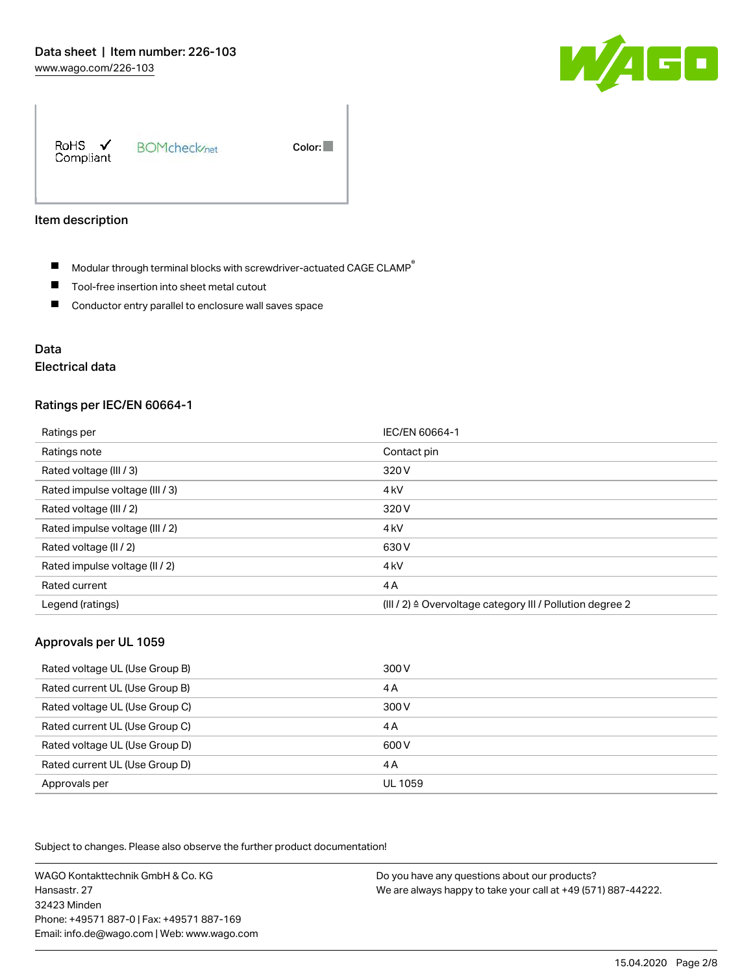

RoHS  $\checkmark$ **BOMcheck**<sub>net</sub> Color: Compliant

#### Item description

- $\blacksquare$  Modular through terminal blocks with screwdriver-actuated CAGE CLAMP<sup>®</sup>
- $\blacksquare$ Tool-free insertion into sheet metal cutout
- $\blacksquare$ Conductor entry parallel to enclosure wall saves space

# Data

# Electrical data

#### Ratings per IEC/EN 60664-1

| Ratings per                     | IEC/EN 60664-1                                                       |
|---------------------------------|----------------------------------------------------------------------|
| Ratings note                    | Contact pin                                                          |
| Rated voltage (III / 3)         | 320 V                                                                |
| Rated impulse voltage (III / 3) | 4 <sub>kV</sub>                                                      |
| Rated voltage (III / 2)         | 320 V                                                                |
| Rated impulse voltage (III / 2) | 4 <sub>kV</sub>                                                      |
| Rated voltage (II / 2)          | 630 V                                                                |
| Rated impulse voltage (II / 2)  | 4 <sub>kV</sub>                                                      |
| Rated current                   | 4A                                                                   |
| Legend (ratings)                | (III / 2) $\triangleq$ Overvoltage category III / Pollution degree 2 |

#### Approvals per UL 1059

| Rated voltage UL (Use Group B) | 300 V   |
|--------------------------------|---------|
| Rated current UL (Use Group B) | 4 A     |
| Rated voltage UL (Use Group C) | 300 V   |
| Rated current UL (Use Group C) | 4 A     |
| Rated voltage UL (Use Group D) | 600 V   |
| Rated current UL (Use Group D) | 4 A     |
| Approvals per                  | UL 1059 |

Subject to changes. Please also observe the further product documentation!

WAGO Kontakttechnik GmbH & Co. KG Hansastr. 27 32423 Minden Phone: +49571 887-0 | Fax: +49571 887-169 Email: info.de@wago.com | Web: www.wago.com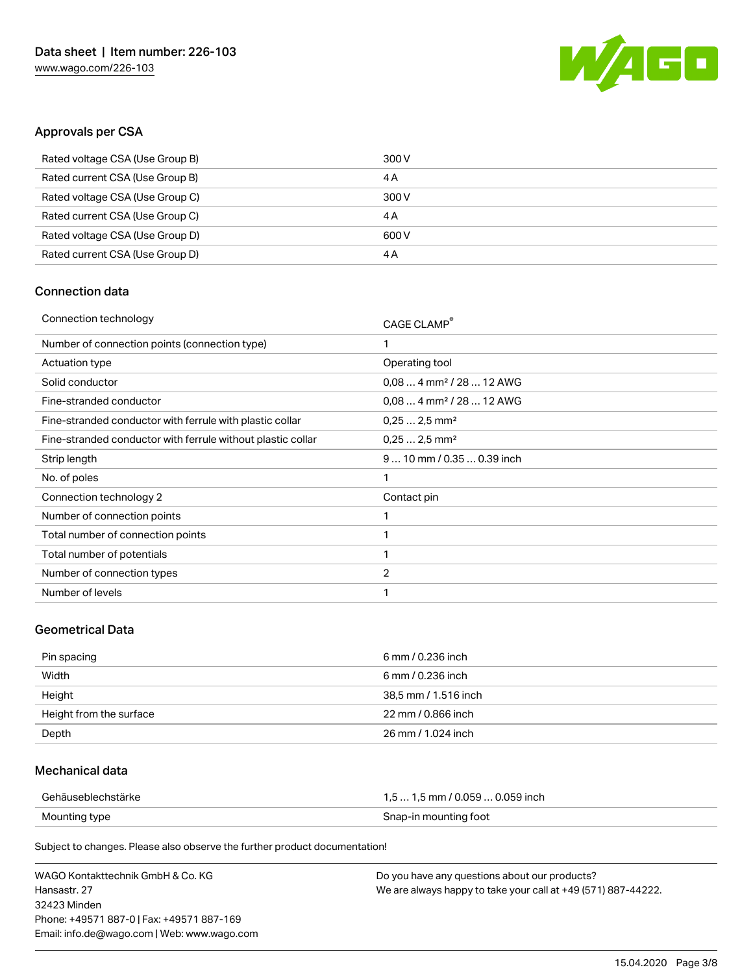

## Approvals per CSA

| Rated voltage CSA (Use Group B) | 300 V |
|---------------------------------|-------|
| Rated current CSA (Use Group B) | 4 A   |
| Rated voltage CSA (Use Group C) | 300 V |
| Rated current CSA (Use Group C) | 4 A   |
| Rated voltage CSA (Use Group D) | 600 V |
| Rated current CSA (Use Group D) | 4 A   |

# Connection data

| Connection technology                                       | CAGE CLAMP®                          |
|-------------------------------------------------------------|--------------------------------------|
| Number of connection points (connection type)               | 1                                    |
| Actuation type                                              | Operating tool                       |
| Solid conductor                                             | $0,084$ mm <sup>2</sup> / 28  12 AWG |
| Fine-stranded conductor                                     | $0.084$ mm <sup>2</sup> / 28  12 AWG |
| Fine-stranded conductor with ferrule with plastic collar    | $0,252,5$ mm <sup>2</sup>            |
| Fine-stranded conductor with ferrule without plastic collar | $0.252.5$ mm <sup>2</sup>            |
| Strip length                                                | $910$ mm / 0.35  0.39 inch           |
| No. of poles                                                | 1                                    |
| Connection technology 2                                     | Contact pin                          |
| Number of connection points                                 | 1                                    |
| Total number of connection points                           | 1                                    |
| Total number of potentials                                  | 1                                    |
| Number of connection types                                  | $\overline{2}$                       |
| Number of levels                                            | 1                                    |
|                                                             |                                      |

### Geometrical Data

| Pin spacing             | 6 mm / 0.236 inch    |
|-------------------------|----------------------|
| Width                   | 6 mm / 0.236 inch    |
| Height                  | 38,5 mm / 1.516 inch |
| Height from the surface | 22 mm / 0.866 inch   |
| Depth                   | 26 mm / 1.024 inch   |

## Mechanical data

| Gehäuseblechstärke | 1,5  1,5 mm / 0.059  0.059 inch |
|--------------------|---------------------------------|
| Mounting type      | Snap-in mounting foot           |

Subject to changes. Please also observe the further product documentation!

| WAGO Kontakttechnik GmbH & Co. KG           | Do you have any questions about our products?                 |
|---------------------------------------------|---------------------------------------------------------------|
| Hansastr. 27                                | We are always happy to take your call at +49 (571) 887-44222. |
| 32423 Minden                                |                                                               |
| Phone: +49571 887-01 Fax: +49571 887-169    |                                                               |
| Email: info.de@wago.com   Web: www.wago.com |                                                               |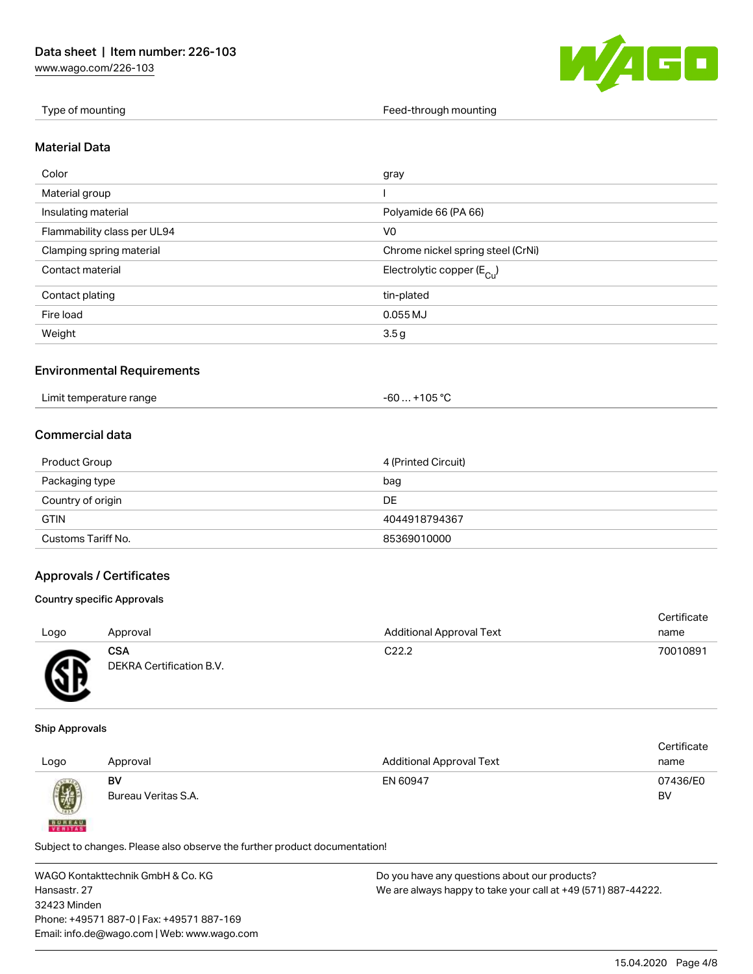[www.wago.com/226-103](http://www.wago.com/226-103)



Type of mounting Type of mounting Feed-through mounting Feed-through mounting

#### Material Data

| Color                       | gray                                  |
|-----------------------------|---------------------------------------|
| Material group              |                                       |
| Insulating material         | Polyamide 66 (PA 66)                  |
| Flammability class per UL94 | V <sub>0</sub>                        |
| Clamping spring material    | Chrome nickel spring steel (CrNi)     |
| Contact material            | Electrolytic copper $(E_{\text{Cl}})$ |
| Contact plating             | tin-plated                            |
| Fire load                   | $0.055$ MJ                            |
| Weight                      | 3.5 <sub>g</sub>                      |

#### Environmental Requirements

| Limit temperature range | $+105 °C$<br>-60… |
|-------------------------|-------------------|
|-------------------------|-------------------|

# Commercial data

| Product Group      | 4 (Printed Circuit) |
|--------------------|---------------------|
| Packaging type     | bag                 |
| Country of origin  | DE                  |
| <b>GTIN</b>        | 4044918794367       |
| Customs Tariff No. | 85369010000         |

## Approvals / Certificates

#### Country specific Approvals

| Logo      | Approval                               | <b>Additional Approval Text</b> | Certificate<br>name |
|-----------|----------------------------------------|---------------------------------|---------------------|
| <b>AR</b> | <b>CSA</b><br>DEKRA Certification B.V. | C <sub>22.2</sub>               | 70010891            |

#### Ship Approvals

**BUREAU** 

|      |                     |                                 | Certificate |
|------|---------------------|---------------------------------|-------------|
| Logo | Approval            | <b>Additional Approval Text</b> | name        |
|      | BV                  | EN 60947                        | 07436/E0    |
| 0    | Bureau Veritas S.A. |                                 | BV          |
|      |                     |                                 |             |

Subject to changes. Please also observe the further product documentation!

WAGO Kontakttechnik GmbH & Co. KG Hansastr. 27 32423 Minden Phone: +49571 887-0 | Fax: +49571 887-169 Email: info.de@wago.com | Web: www.wago.com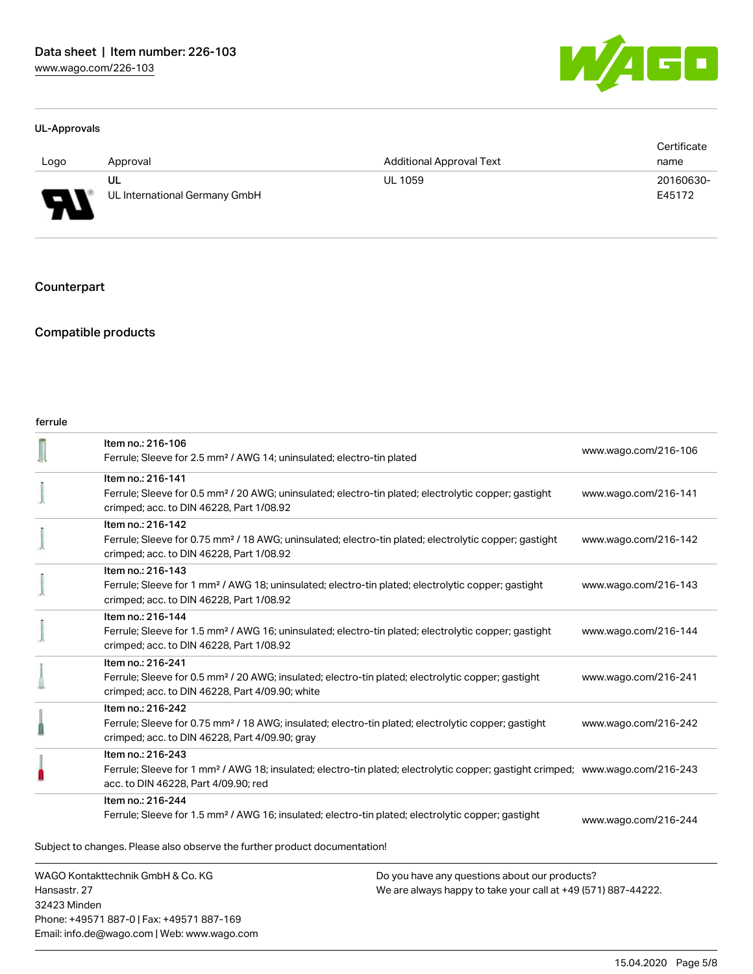

#### UL-Approvals

|        |                               |                                 | Certificate |
|--------|-------------------------------|---------------------------------|-------------|
| Logo   | Approval                      | <b>Additional Approval Text</b> | name        |
|        | UL                            | <b>UL 1059</b>                  | 20160630-   |
| $\Box$ | UL International Germany GmbH |                                 | E45172      |

Counterpart

# Compatible products

#### ferrule

| WAGO Kontakttechnik GmbH & Co. KG<br>Hancactr 27 |                                                                                                                                                                                                         | Do you have any questions about our products?<br>Me are always hanny to take your call at +49 (571) 887-44222 |                      |
|--------------------------------------------------|---------------------------------------------------------------------------------------------------------------------------------------------------------------------------------------------------------|---------------------------------------------------------------------------------------------------------------|----------------------|
|                                                  | Subject to changes. Please also observe the further product documentation!                                                                                                                              |                                                                                                               |                      |
|                                                  | Item no.: 216-244<br>Ferrule; Sleeve for 1.5 mm <sup>2</sup> / AWG 16; insulated; electro-tin plated; electrolytic copper; gastight                                                                     |                                                                                                               | www.wago.com/216-244 |
|                                                  | Item no.: 216-243<br>Ferrule; Sleeve for 1 mm <sup>2</sup> / AWG 18; insulated; electro-tin plated; electrolytic copper; gastight crimped; www.wago.com/216-243<br>acc. to DIN 46228, Part 4/09.90; red |                                                                                                               |                      |
|                                                  | Item no.: 216-242<br>Ferrule; Sleeve for 0.75 mm <sup>2</sup> / 18 AWG; insulated; electro-tin plated; electrolytic copper; gastight<br>crimped; acc. to DIN 46228, Part 4/09.90; gray                  |                                                                                                               | www.wago.com/216-242 |
|                                                  | Item no.: 216-241<br>Ferrule; Sleeve for 0.5 mm <sup>2</sup> / 20 AWG; insulated; electro-tin plated; electrolytic copper; gastight<br>crimped; acc. to DIN 46228, Part 4/09.90; white                  |                                                                                                               | www.wago.com/216-241 |
|                                                  | Item no.: 216-144<br>Ferrule; Sleeve for 1.5 mm <sup>2</sup> / AWG 16; uninsulated; electro-tin plated; electrolytic copper; gastight<br>crimped; acc. to DIN 46228, Part 1/08.92                       |                                                                                                               | www.wago.com/216-144 |
|                                                  | Item no.: 216-143<br>Ferrule; Sleeve for 1 mm <sup>2</sup> / AWG 18; uninsulated; electro-tin plated; electrolytic copper; gastight<br>crimped; acc. to DIN 46228, Part 1/08.92                         |                                                                                                               | www.wago.com/216-143 |
|                                                  | Item no.: 216-142<br>Ferrule; Sleeve for 0.75 mm <sup>2</sup> / 18 AWG; uninsulated; electro-tin plated; electrolytic copper; gastight<br>crimped; acc. to DIN 46228, Part 1/08.92                      |                                                                                                               | www.wago.com/216-142 |
|                                                  | Item no.: 216-141<br>Ferrule; Sleeve for 0.5 mm <sup>2</sup> / 20 AWG; uninsulated; electro-tin plated; electrolytic copper; gastight<br>crimped; acc. to DIN 46228, Part 1/08.92                       |                                                                                                               | www.wago.com/216-141 |
|                                                  | Item no.: 216-106<br>Ferrule; Sleeve for 2.5 mm <sup>2</sup> / AWG 14; uninsulated; electro-tin plated                                                                                                  |                                                                                                               | www.wago.com/216-106 |

Hansastr. 27 32423 Minden Phone: +49571 887-0 | Fax: +49571 887-169 Email: info.de@wago.com | Web: www.wago.com We are always happy to take your call at +49 (571) 887-44222.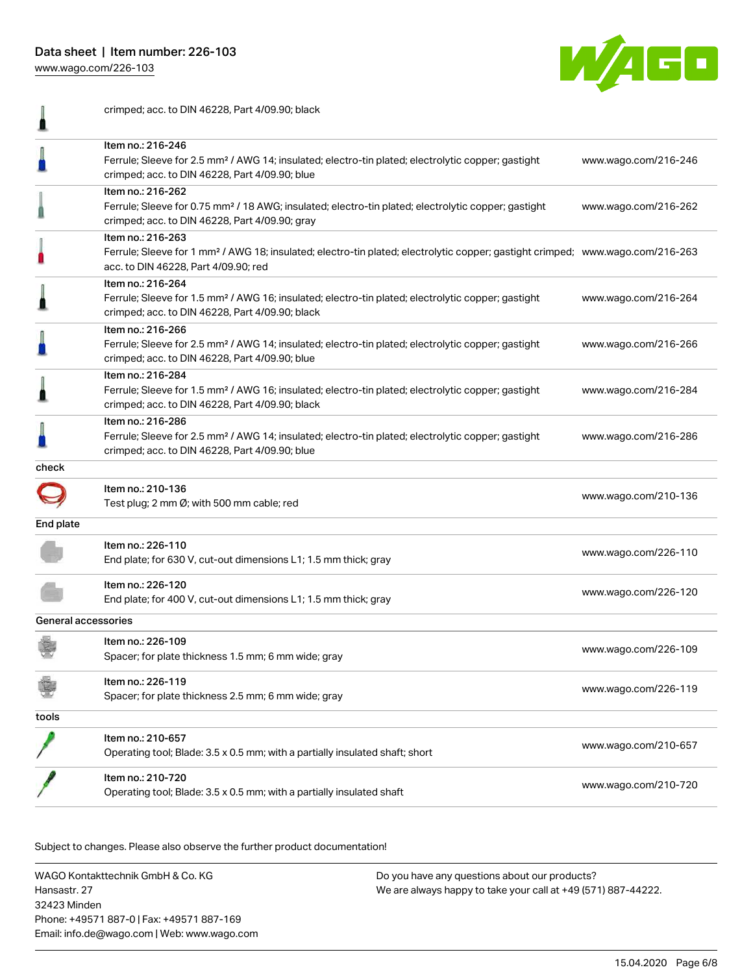Data sheet | Item number: 226-103

[www.wago.com/226-103](http://www.wago.com/226-103)



|                     | crimped; acc. to DIN 46228, Part 4/09.90; black                                                                                                                  |                      |
|---------------------|------------------------------------------------------------------------------------------------------------------------------------------------------------------|----------------------|
|                     | Item no.: 216-246                                                                                                                                                |                      |
|                     | Ferrule; Sleeve for 2.5 mm <sup>2</sup> / AWG 14; insulated; electro-tin plated; electrolytic copper; gastight                                                   | www.wago.com/216-246 |
|                     | crimped; acc. to DIN 46228, Part 4/09.90; blue                                                                                                                   |                      |
|                     | Item no.: 216-262                                                                                                                                                |                      |
|                     | Ferrule; Sleeve for 0.75 mm <sup>2</sup> / 18 AWG; insulated; electro-tin plated; electrolytic copper; gastight                                                  | www.wago.com/216-262 |
|                     | crimped; acc. to DIN 46228, Part 4/09.90; gray                                                                                                                   |                      |
|                     | Item no.: 216-263                                                                                                                                                |                      |
|                     | Ferrule; Sleeve for 1 mm <sup>2</sup> / AWG 18; insulated; electro-tin plated; electrolytic copper; gastight crimped; www.wago.com/216-263                       |                      |
|                     | acc. to DIN 46228, Part 4/09.90; red                                                                                                                             |                      |
|                     | Item no.: 216-264                                                                                                                                                |                      |
|                     | Ferrule; Sleeve for 1.5 mm <sup>2</sup> / AWG 16; insulated; electro-tin plated; electrolytic copper; gastight                                                   | www.wago.com/216-264 |
|                     | crimped; acc. to DIN 46228, Part 4/09.90; black                                                                                                                  |                      |
|                     | Item no.: 216-266                                                                                                                                                |                      |
|                     | Ferrule; Sleeve for 2.5 mm <sup>2</sup> / AWG 14; insulated; electro-tin plated; electrolytic copper; gastight                                                   | www.wago.com/216-266 |
|                     | crimped; acc. to DIN 46228, Part 4/09.90; blue                                                                                                                   |                      |
|                     | Item no.: 216-284                                                                                                                                                |                      |
|                     | Ferrule; Sleeve for 1.5 mm <sup>2</sup> / AWG 16; insulated; electro-tin plated; electrolytic copper; gastight                                                   | www.wago.com/216-284 |
|                     | crimped; acc. to DIN 46228, Part 4/09.90; black                                                                                                                  |                      |
|                     | Item no.: 216-286                                                                                                                                                |                      |
|                     | Ferrule; Sleeve for 2.5 mm <sup>2</sup> / AWG 14; insulated; electro-tin plated; electrolytic copper; gastight<br>crimped; acc. to DIN 46228, Part 4/09.90; blue | www.wago.com/216-286 |
| check               |                                                                                                                                                                  |                      |
|                     |                                                                                                                                                                  |                      |
|                     | Item no.: 210-136                                                                                                                                                | www.wago.com/210-136 |
|                     | Test plug; 2 mm Ø; with 500 mm cable; red                                                                                                                        |                      |
| End plate           |                                                                                                                                                                  |                      |
|                     | Item no.: 226-110                                                                                                                                                | www.wago.com/226-110 |
|                     | End plate; for 630 V, cut-out dimensions L1; 1.5 mm thick; gray                                                                                                  |                      |
|                     | Item no.: 226-120                                                                                                                                                |                      |
|                     | End plate; for 400 V, cut-out dimensions L1; 1.5 mm thick; gray                                                                                                  | www.wago.com/226-120 |
| General accessories |                                                                                                                                                                  |                      |
|                     | Item no.: 226-109                                                                                                                                                |                      |
|                     | Spacer; for plate thickness 1.5 mm; 6 mm wide; gray                                                                                                              | www.wago.com/226-109 |
|                     | Item no.: 226-119                                                                                                                                                |                      |
|                     | Spacer; for plate thickness 2.5 mm; 6 mm wide; gray                                                                                                              | www.wago.com/226-119 |
| tools               |                                                                                                                                                                  |                      |
|                     |                                                                                                                                                                  |                      |
|                     | ltem no.: 210-657                                                                                                                                                | www.wago.com/210-657 |
|                     | Operating tool; Blade: 3.5 x 0.5 mm; with a partially insulated shaft; short                                                                                     |                      |
|                     | Item no.: 210-720                                                                                                                                                |                      |
|                     | Operating tool; Blade: 3.5 x 0.5 mm; with a partially insulated shaft                                                                                            | www.wago.com/210-720 |
|                     |                                                                                                                                                                  |                      |

Subject to changes. Please also observe the further product documentation! Downloads

WAGO Kontakttechnik GmbH & Co. KG Hansastr. 27 32423 Minden Phone: +49571 887-0 | Fax: +49571 887-169 Email: info.de@wago.com | Web: www.wago.com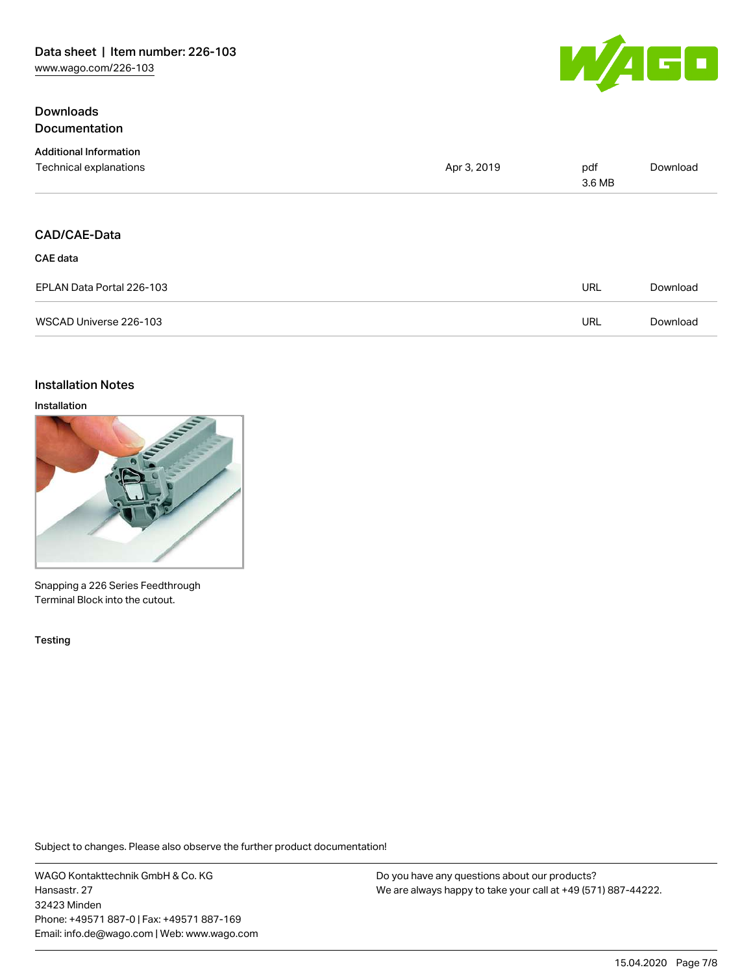## **Downloads Documentation**



| <b>Additional Information</b> |             |               |          |
|-------------------------------|-------------|---------------|----------|
| Technical explanations        | Apr 3, 2019 | pdf<br>3.6 MB | Download |
|                               |             |               |          |
| CAD/CAE-Data                  |             |               |          |
| <b>CAE</b> data               |             |               |          |
| EPLAN Data Portal 226-103     |             | <b>URL</b>    | Download |
| WSCAD Universe 226-103        |             | <b>URL</b>    | Download |

### Installation Notes

#### Installation



Snapping a 226 Series Feedthrough Terminal Block into the cutout.

Testing

Subject to changes. Please also observe the further product documentation!

WAGO Kontakttechnik GmbH & Co. KG Hansastr. 27 32423 Minden Phone: +49571 887-0 | Fax: +49571 887-169 Email: info.de@wago.com | Web: www.wago.com